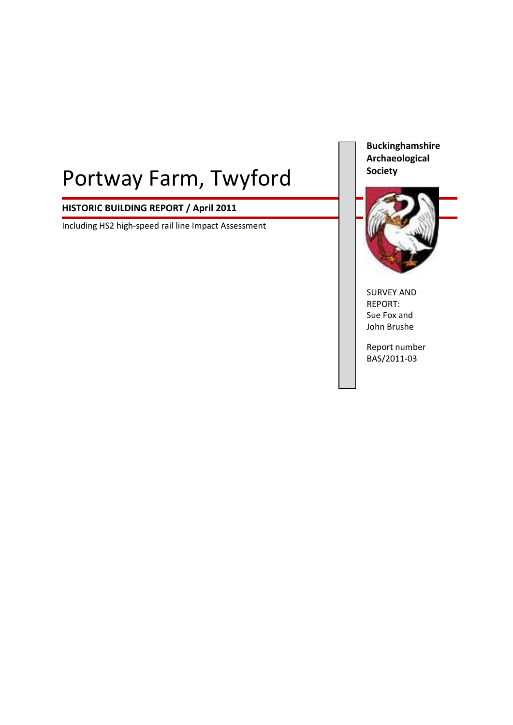# Portway Farm, Twyford

# **HISTORIC BUILDING REPORT / April 2011**

Including HS2 high-speed rail line Impact Assessment

**Buckinghamshire Archaeological Society**



SURVEY AND REPORT: Sue Fox and John Brushe

Report number BAS/2011-03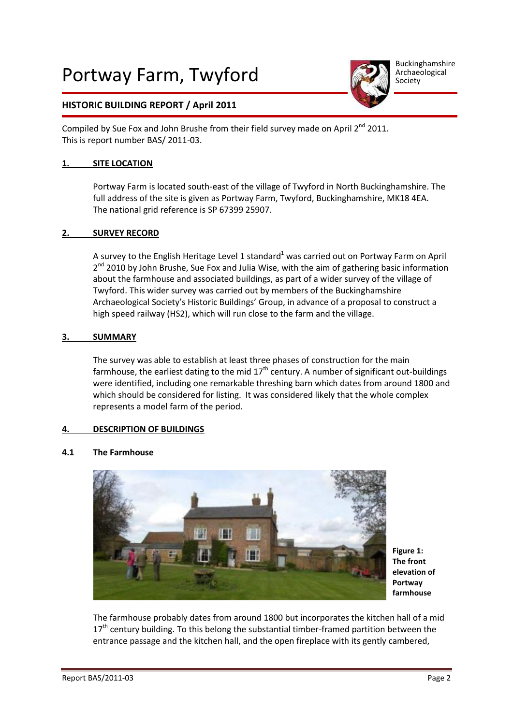# Portway Farm, Twyford



Buckinghamshire Archaeological Society

# **HISTORIC BUILDING REPORT / April 2011**

Compiled by Sue Fox and John Brushe from their field survey made on April  $2^{nd}$  2011. This is report number BAS/ 2011-03.

#### **1. SITE LOCATION**

Portway Farm is located south-east of the village of Twyford in North Buckinghamshire. The full address of the site is given as Portway Farm, Twyford, Buckinghamshire, MK18 4EA. The national grid reference is SP 67399 25907.

#### **2. SURVEY RECORD**

A survey to the English Heritage Level 1 standard<sup>1</sup> was carried out on Portway Farm on April 2<sup>nd</sup> 2010 by John Brushe, Sue Fox and Julia Wise, with the aim of gathering basic information about the farmhouse and associated buildings, as part of a wider survey of the village of Twyford. This wider survey was carried out by members of the Buckinghamshire Archaeological Society's Historic Buildings' Group, in advance of a proposal to construct a high speed railway (HS2), which will run close to the farm and the village.

#### **3. SUMMARY**

The survey was able to establish at least three phases of construction for the main farmhouse, the earliest dating to the mid  $17<sup>th</sup>$  century. A number of significant out-buildings were identified, including one remarkable threshing barn which dates from around 1800 and which should be considered for listing. It was considered likely that the whole complex represents a model farm of the period.

## **4. DESCRIPTION OF BUILDINGS**

#### **4.1 The Farmhouse**



**Figure 1: The front elevation of Portway farmhouse**

The farmhouse probably dates from around 1800 but incorporates the kitchen hall of a mid 17<sup>th</sup> century building. To this belong the substantial timber-framed partition between the entrance passage and the kitchen hall, and the open fireplace with its gently cambered,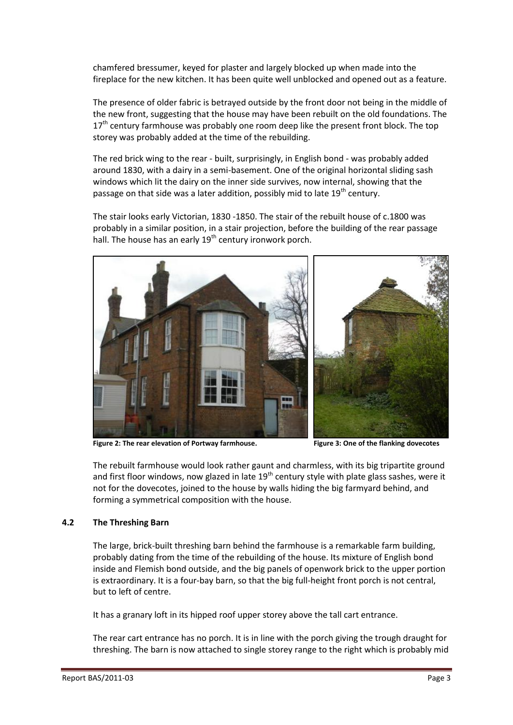chamfered bressumer, keyed for plaster and largely blocked up when made into the fireplace for the new kitchen. It has been quite well unblocked and opened out as a feature.

The presence of older fabric is betrayed outside by the front door not being in the middle of the new front, suggesting that the house may have been rebuilt on the old foundations. The  $17<sup>th</sup>$  century farmhouse was probably one room deep like the present front block. The top storey was probably added at the time of the rebuilding.

The red brick wing to the rear - built, surprisingly, in English bond - was probably added around 1830, with a dairy in a semi-basement. One of the original horizontal sliding sash windows which lit the dairy on the inner side survives, now internal, showing that the passage on that side was a later addition, possibly mid to late  $19<sup>th</sup>$  century.

The stair looks early Victorian, 1830 -1850. The stair of the rebuilt house of c.1800 was probably in a similar position, in a stair projection, before the building of the rear passage hall. The house has an early  $19<sup>th</sup>$  century ironwork porch.



Figure 2: The rear elevation of Portway farmhouse. Figure 3: One of the flanking dovecotes

The rebuilt farmhouse would look rather gaunt and charmless, with its big tripartite ground and first floor windows, now glazed in late  $19<sup>th</sup>$  century style with plate glass sashes, were it not for the dovecotes, joined to the house by walls hiding the big farmyard behind, and forming a symmetrical composition with the house.

## **4.2 The Threshing Barn**

The large, brick-built threshing barn behind the farmhouse is a remarkable farm building, probably dating from the time of the rebuilding of the house. Its mixture of English bond inside and Flemish bond outside, and the big panels of openwork brick to the upper portion is extraordinary. It is a four-bay barn, so that the big full-height front porch is not central, but to left of centre.

It has a granary loft in its hipped roof upper storey above the tall cart entrance.

The rear cart entrance has no porch. It is in line with the porch giving the trough draught for threshing. The barn is now attached to single storey range to the right which is probably mid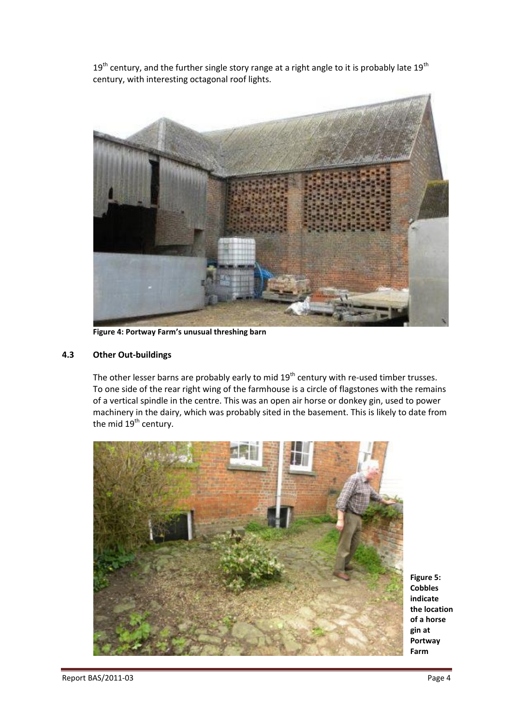$19<sup>th</sup>$  century, and the further single story range at a right angle to it is probably late  $19<sup>th</sup>$ century, with interesting octagonal roof lights.



**Figure 4: Portway Farm's unusual threshing barn**

#### **4.3 Other Out-buildings**

The other lesser barns are probably early to mid 19<sup>th</sup> century with re-used timber trusses. To one side of the rear right wing of the farmhouse is a circle of flagstones with the remains of a vertical spindle in the centre. This was an open air horse or donkey gin, used to power machinery in the dairy, which was probably sited in the basement. This is likely to date from the mid  $19^{th}$  century.



**Figure 5: Cobbles indicate the location of a horse gin at Portway Farm**